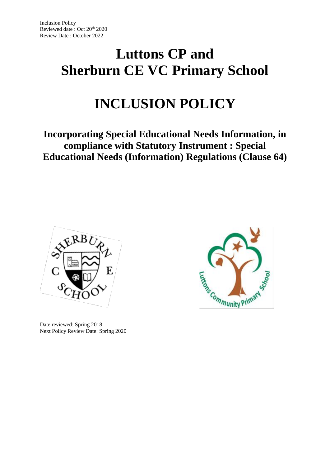# **Luttons CP and Sherburn CE VC Primary School**

# **INCLUSION POLICY**

# **Incorporating Special Educational Needs Information, in compliance with Statutory Instrument : Special Educational Needs (Information) Regulations (Clause 64)**



Date reviewed: Spring 2018 Next Policy Review Date: Spring 2020

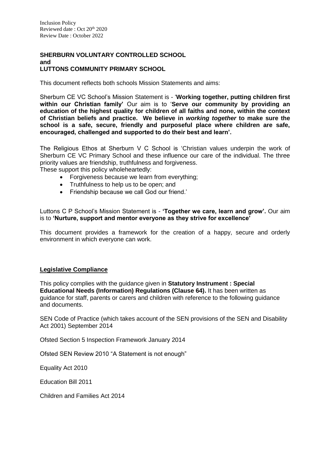# **SHERBURN VOLUNTARY CONTROLLED SCHOOL and LUTTONS COMMUNITY PRIMARY SCHOOL**

This document reflects both schools Mission Statements and aims:

Sherburn CE VC School's Mission Statement is - '**Working together, putting children first within our Christian family'** Our aim is to '**Serve our community by providing an education of the highest quality for children of all faiths and none, within the context of Christian beliefs and practice. We believe in** *working together* **to make sure the school is a safe, secure, friendly and purposeful place where children are safe, encouraged, challenged and supported to do their best and learn'.**

The Religious Ethos at Sherburn V C School is 'Christian values underpin the work of Sherburn CE VC Primary School and these influence our care of the individual. The three priority values are friendship, truthfulness and forgiveness.

These support this policy wholeheartedly:

- Forgiveness because we learn from everything;
- Truthfulness to help us to be open; and
- Friendship because we call God our friend.'

Luttons C P School's Mission Statement is - **'Together we care, learn and grow'.** Our aim is to **'Nurture, support and mentor everyone as they strive for excellence'** 

This document provides a framework for the creation of a happy, secure and orderly environment in which everyone can work.

# **Legislative Compliance**

This policy complies with the guidance given in **Statutory Instrument : Special Educational Needs (Information) Regulations (Clause 64).** It has been written as guidance for staff, parents or carers and children with reference to the following guidance and documents.

SEN Code of Practice (which takes account of the SEN provisions of the SEN and Disability Act 2001) September 2014

Ofsted Section 5 Inspection Framework January 2014

Ofsted SEN Review 2010 "A Statement is not enough"

Equality Act 2010

Education Bill 2011

Children and Families Act 2014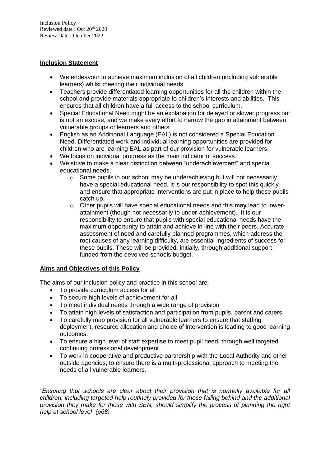# **Inclusion Statement**

- We endeavour to achieve maximum inclusion of all children (including vulnerable learners) whilst meeting their individual needs.
- Teachers provide differentiated learning opportunities for all the children within the school and provide materials appropriate to children's interests and abilities. This ensures that all children have a full access to the school curriculum.
- Special Educational Need might be an explanation for delayed or slower progress but is not an excuse, and we make every effort to narrow the gap in attainment between vulnerable groups of learners and others.
- English as an Additional Language (EAL) is not considered a Special Education Need. Differentiated work and individual learning opportunities are provided for children who are learning EAL as part of our provision for vulnerable learners.
- We focus on individual progress as the main indicator of success.
- We strive to make a clear distinction between "underachievement" and special educational needs.
	- $\circ$  Some pupils in our school may be underachieving but will not necessarily have a special educational need. It is our responsibility to spot this quickly and ensure that appropriate interventions are put in place to help these pupils catch up.
	- o Other pupils will have special educational needs and this **may** lead to lowerattainment (though not necessarily to under-achievement). It is our responsibility to ensure that pupils with special educational needs have the maximum opportunity to attain and achieve in line with their peers. Accurate assessment of need and carefully planned programmes, which address the root causes of any learning difficulty, are essential ingredients of success for these pupils. These will be provided, initially, through additional support funded from the devolved schools budget.

# **Aims and Objectives of this Policy**

The aims of our inclusion policy and practice in this school are:

- To provide curriculum access for all
- To secure high levels of achievement for all
- To meet individual needs through a wide range of provision
- To attain high levels of satisfaction and participation from pupils, parent and carers
- To carefully map provision for all vulnerable learners to ensure that staffing deployment, resource allocation and choice of intervention is leading to good learning outcomes.
- To ensure a high level of staff expertise to meet pupil need, through well targeted continuing professional development.
- To work in cooperative and productive partnership with the Local Authority and other outside agencies, to ensure there is a multi-professional approach to meeting the needs of all vulnerable learners.

*"Ensuring that schools are clear about their provision that is normally available for all children, including targeted help routinely provided for those falling behind and the additional provision they make for those with SEN, should simplify the process of planning the right help at school level" (p68)*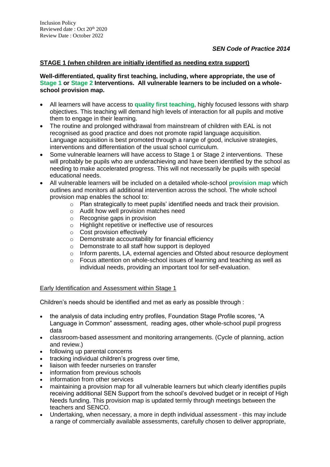# **STAGE 1 (when children are initially identified as needing extra support)**

#### **Well-differentiated, quality first teaching, including, where appropriate, the use of Stage 1 or Stage 2 Interventions. All vulnerable learners to be included on a wholeschool provision map.**

- All learners will have access to **quality first teaching**, highly focused lessons with sharp objectives. This teaching will demand high levels of interaction for all pupils and motive them to engage in their learning.
- The routine and prolonged withdrawal from mainstream of children with EAL is not recognised as good practice and does not promote rapid language acquisition. Language acquisition is best promoted through a range of good, inclusive strategies, interventions and differentiation of the usual school curriculum.
- Some vulnerable learners will have access to Stage 1 or Stage 2 interventions. These will probably be pupils who are underachieving and have been identified by the school as needing to make accelerated progress. This will not necessarily be pupils with special educational needs.
- All vulnerable learners will be included on a detailed whole-school **provision map** which outlines and monitors all additional intervention across the school. The whole school provision map enables the school to:
	- o Plan strategically to meet pupils' identified needs and track their provision.
	- o Audit how well provision matches need
	- o Recognise gaps in provision
	- o Highlight repetitive or ineffective use of resources
	- o Cost provision effectively
	- o Demonstrate accountability for financial efficiency
	- o Demonstrate to all staff how support is deployed
	- o Inform parents, LA, external agencies and Ofsted about resource deployment
	- $\circ$  Focus attention on whole-school issues of learning and teaching as well as individual needs, providing an important tool for self-evaluation.

# Early Identification and Assessment within Stage 1

Children's needs should be identified and met as early as possible through :

- the analysis of data including entry profiles, Foundation Stage Profile scores, "A Language in Common" assessment, reading ages, other whole-school pupil progress data
- classroom-based assessment and monitoring arrangements. (Cycle of planning, action and review.)
- following up parental concerns
- tracking individual children's progress over time,
- liaison with feeder nurseries on transfer
- information from previous schools
- information from other services
- maintaining a provision map for all vulnerable learners but which clearly identifies pupils receiving additional SEN Support from the school's devolved budget or in receipt of High Needs funding. This provision map is updated termly through meetings between the teachers and SENCO.
- Undertaking, when necessary, a more in depth individual assessment this may include a range of commercially available assessments, carefully chosen to deliver appropriate,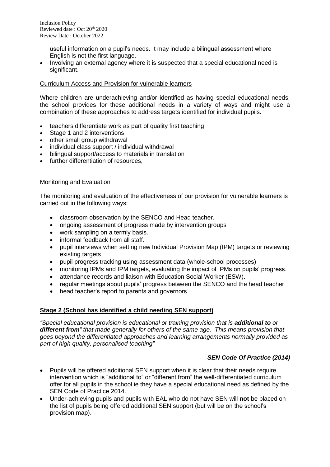useful information on a pupil's needs. It may include a bilingual assessment where English is not the first language.

 Involving an external agency where it is suspected that a special educational need is significant.

#### Curriculum Access and Provision for vulnerable learners

Where children are underachieving and/or identified as having special educational needs, the school provides for these additional needs in a variety of ways and might use a combination of these approaches to address targets identified for individual pupils.

- teachers differentiate work as part of quality first teaching
- Stage 1 and 2 interventions
- other small group withdrawal
- individual class support / individual withdrawal
- bilingual support/access to materials in translation
- further differentiation of resources,

#### Monitoring and Evaluation

The monitoring and evaluation of the effectiveness of our provision for vulnerable learners is carried out in the following ways:

- classroom observation by the SENCO and Head teacher.
- ongoing assessment of progress made by intervention groups
- work sampling on a termly basis.
- informal feedback from all staff.
- pupil interviews when setting new Individual Provision Map (IPM) targets or reviewing existing targets
- pupil progress tracking using assessment data (whole-school processes)
- monitoring IPMs and IPM targets, evaluating the impact of IPMs on pupils' progress.
- attendance records and liaison with Education Social Worker (ESW).
- regular meetings about pupils' progress between the SENCO and the head teacher
- head teacher's report to parents and governors

# **Stage 2 (School has identified a child needing SEN support)**

*"Special educational provision is educational or training provision that is additional to or different from" that made generally for others of the same age. This means provision that goes beyond the differentiated approaches and learning arrangements normally provided as part of high quality, personalised teaching"* 

# *SEN Code Of Practice (2014)*

- Pupils will be offered additional SEN support when it is clear that their needs require intervention which is "additional to" or "different from" the well-differentiated curriculum offer for all pupils in the school ie they have a special educational need as defined by the SEN Code of Practice 2014.
- Under-achieving pupils and pupils with EAL who do not have SEN will **not** be placed on the list of pupils being offered additional SEN support (but will be on the school's provision map).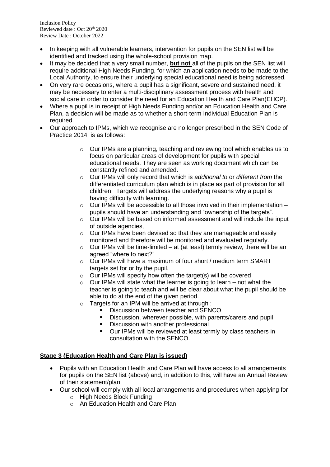- In keeping with all vulnerable learners, intervention for pupils on the SEN list will be identified and tracked using the whole-school provision map.
- It may be decided that a very small number, **but not** all of the pupils on the SEN list will require additional High Needs Funding, for which an application needs to be made to the Local Authority, to ensure their underlying special educational need is being addressed.
- On very rare occasions, where a pupil has a significant, severe and sustained need, it may be necessary to enter a multi-disciplinary assessment process with health and social care in order to consider the need for an Education Health and Care Plan(EHCP).
- Where a pupil is in receipt of High Needs Funding and/or an Education Health and Care Plan, a decision will be made as to whether a short-term Individual Education Plan is required.
- Our approach to IPMs, which we recognise are no longer prescribed in the SEN Code of Practice 2014, is as follows:
	- o Our IPMs are a planning, teaching and reviewing tool which enables us to focus on particular areas of development for pupils with special educational needs. They are seen as working document which can be constantly refined and amended.
	- o Our IPMs will only record that which is *additional to* or *different from* the differentiated curriculum plan which is in place as part of provision for all children. Targets will address the underlying reasons why a pupil is having difficulty with learning.
	- $\circ$  Our IPMs will be accessible to all those involved in their implementation pupils should have an understanding and "ownership of the targets".
	- $\circ$  Our IPMs will be based on informed assessment and will include the input of outside agencies,
	- o Our IPMs have been devised so that they are manageable and easily monitored and therefore will be monitored and evaluated regularly.
	- $\circ$  Our IPMs will be time-limited at (at least) termly review, there will be an agreed "where to next?"
	- o Our IPMs will have a maximum of four short / medium term SMART targets set for or by the pupil.
	- $\circ$  Our IPMs will specify how often the target(s) will be covered
	- $\circ$  Our IPMs will state what the learner is going to learn not what the teacher is going to teach and will be clear about what the pupil should be able to do at the end of the given period.
	- $\circ$  Targets for an IPM will be arrived at through :
		- Discussion between teacher and SENCO
		- Discussion, wherever possible, with parents/carers and pupil
		- Discussion with another professional
		- Our IPMs will be reviewed at least termly by class teachers in consultation with the SENCO.

# **Stage 3 (Education Health and Care Plan is issued)**

- Pupils with an Education Health and Care Plan will have access to all arrangements for pupils on the SEN list (above) and, in addition to this, will have an Annual Review of their statement/plan.
- Our school will comply with all local arrangements and procedures when applying for
	- o High Needs Block Funding
	- o An Education Health and Care Plan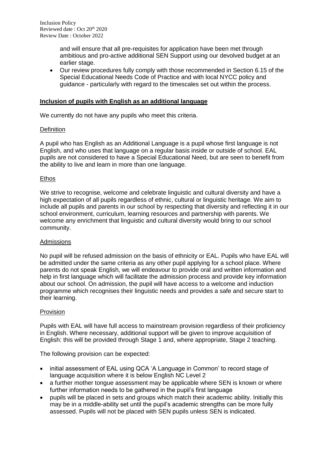and will ensure that all pre-requisites for application have been met through ambitious and pro-active additional SEN Support using our devolved budget at an earlier stage.

 Our review procedures fully comply with those recommended in Section 6.15 of the Special Educational Needs Code of Practice and with local NYCC policy and guidance - particularly with regard to the timescales set out within the process.

#### **Inclusion of pupils with English as an additional language**

We currently do not have any pupils who meet this criteria.

#### **Definition**

A pupil who has English as an Additional Language is a pupil whose first language is not English, and who uses that language on a regular basis inside or outside of school. EAL pupils are not considered to have a Special Educational Need, but are seen to benefit from the ability to live and learn in more than one language.

#### **Ethos**

We strive to recognise, welcome and celebrate linguistic and cultural diversity and have a high expectation of all pupils regardless of ethnic, cultural or linguistic heritage. We aim to include all pupils and parents in our school by respecting that diversity and reflecting it in our school environment, curriculum, learning resources and partnership with parents. We welcome any enrichment that linguistic and cultural diversity would bring to our school community.

#### **Admissions**

No pupil will be refused admission on the basis of ethnicity or EAL. Pupils who have EAL will be admitted under the same criteria as any other pupil applying for a school place. Where parents do not speak English, we will endeavour to provide oral and written information and help in first language which will facilitate the admission process and provide key information about our school. On admission, the pupil will have access to a welcome and induction programme which recognises their linguistic needs and provides a safe and secure start to their learning.

#### Provision

Pupils with EAL will have full access to mainstream provision regardless of their proficiency in English. Where necessary, additional support will be given to improve acquisition of English: this will be provided through Stage 1 and, where appropriate, Stage 2 teaching.

The following provision can be expected:

- initial assessment of EAL using QCA 'A Language in Common' to record stage of language acquisition where it is below English NC Level 2
- a further mother tongue assessment may be applicable where SEN is known or where further information needs to be gathered in the pupil's first language
- pupils will be placed in sets and groups which match their academic ability. Initially this may be in a middle-ability set until the pupil's academic strengths can be more fully assessed. Pupils will not be placed with SEN pupils unless SEN is indicated.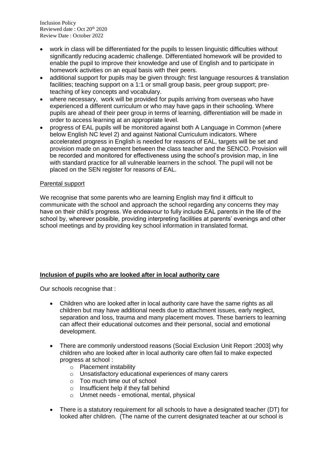Inclusion Policy Reviewed date: Oct 20<sup>th</sup> 2020 Review Date : October 2022

- work in class will be differentiated for the pupils to lessen linguistic difficulties without significantly reducing academic challenge. Differentiated homework will be provided to enable the pupil to improve their knowledge and use of English and to participate in homework activities on an equal basis with their peers.
- additional support for pupils may be given through: first language resources & translation facilities; teaching support on a 1:1 or small group basis, peer group support; preteaching of key concepts and vocabulary.
- where necessary, work will be provided for pupils arriving from overseas who have experienced a different curriculum or who may have gaps in their schooling. Where pupils are ahead of their peer group in terms of learning, differentiation will be made in order to access learning at an appropriate level.
- progress of EAL pupils will be monitored against both A Language in Common (where below English NC level 2) and against National Curriculum indicators. Where accelerated progress in English is needed for reasons of EAL, targets will be set and provision made on agreement between the class teacher and the SENCO. Provision will be recorded and monitored for effectiveness using the school's provision map, in line with standard practice for all vulnerable learners in the school. The pupil will not be placed on the SEN register for reasons of EAL.

# Parental support

We recognise that some parents who are learning English may find it difficult to communicate with the school and approach the school regarding any concerns they may have on their child's progress. We endeavour to fully include EAL parents in the life of the school by, wherever possible, providing interpreting facilities at parents' evenings and other school meetings and by providing key school information in translated format.

# **Inclusion of pupils who are looked after in local authority care**

Our schools recognise that :

- Children who are looked after in local authority care have the same rights as all children but may have additional needs due to attachment issues, early neglect, separation and loss, trauma and many placement moves. These barriers to learning can affect their educational outcomes and their personal, social and emotional development.
- There are commonly understood reasons (Social Exclusion Unit Report :2003] why children who are looked after in local authority care often fail to make expected progress at school :
	- o Placement instability
	- o Unsatisfactory educational experiences of many carers
	- o Too much time out of school
	- o Insufficient help if they fall behind
	- o Unmet needs emotional, mental, physical
- There is a statutory requirement for all schools to have a designated teacher (DT) for looked after children. (The name of the current designated teacher at our school is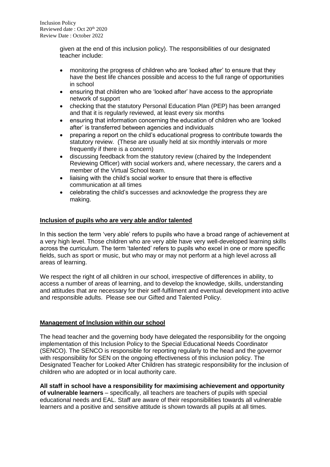given at the end of this inclusion policy). The responsibilities of our designated teacher include:

- monitoring the progress of children who are 'looked after' to ensure that they have the best life chances possible and access to the full range of opportunities in school
- ensuring that children who are 'looked after' have access to the appropriate network of support
- checking that the statutory Personal Education Plan (PEP) has been arranged and that it is regularly reviewed, at least every six months
- ensuring that information concerning the education of children who are 'looked after' is transferred between agencies and individuals
- preparing a report on the child's educational progress to contribute towards the statutory review. (These are usually held at six monthly intervals or more frequently if there is a concern)
- discussing feedback from the statutory review (chaired by the Independent Reviewing Officer) with social workers and, where necessary, the carers and a member of the Virtual School team.
- liaising with the child's social worker to ensure that there is effective communication at all times
- celebrating the child's successes and acknowledge the progress they are making.

# **Inclusion of pupils who are very able and/or talented**

In this section the term 'very able' refers to pupils who have a broad range of achievement at a very high level. Those children who are very able have very well-developed learning skills across the curriculum. The term 'talented' refers to pupils who excel in one or more specific fields, such as sport or music, but who may or may not perform at a high level across all areas of learning.

We respect the right of all children in our school, irrespective of differences in ability, to access a number of areas of learning, and to develop the knowledge, skills, understanding and attitudes that are necessary for their self-fulfilment and eventual development into active and responsible adults. Please see our Gifted and Talented Policy.

# **Management of Inclusion within our school**

The head teacher and the governing body have delegated the responsibility for the ongoing implementation of this Inclusion Policy to the Special Educational Needs Coordinator (SENCO). The SENCO is responsible for reporting regularly to the head and the governor with responsibility for SEN on the ongoing effectiveness of this inclusion policy. The Designated Teacher for Looked After Children has strategic responsibility for the inclusion of children who are adopted or in local authority care.

**All staff in school have a responsibility for maximising achievement and opportunity of vulnerable learners** – specifically, all teachers are teachers of pupils with special educational needs and EAL. Staff are aware of their responsibilities towards all vulnerable learners and a positive and sensitive attitude is shown towards all pupils at all times.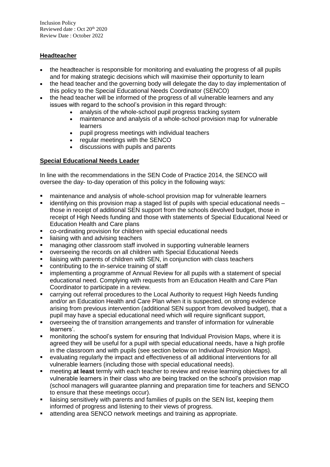Inclusion Policy Reviewed date : Oct 20th 2020 Review Date : October 2022

# **Headteacher**

- the headteacher is responsible for monitoring and evaluating the progress of all pupils and for making strategic decisions which will maximise their opportunity to learn
- the head teacher and the governing body will delegate the day to day implementation of this policy to the Special Educational Needs Coordinator (SENCO)
- the head teacher will be informed of the progress of all vulnerable learners and any issues with regard to the school's provision in this regard through:
	- analysis of the whole-school pupil progress tracking system
	- maintenance and analysis of a whole-school provision map for vulnerable learners
	- pupil progress meetings with individual teachers
	- regular meetings with the SENCO
	- discussions with pupils and parents

# **Special Educational Needs Leader**

In line with the recommendations in the SEN Code of Practice 2014, the SENCO will oversee the day- to-day operation of this policy in the following ways:

- maintenance and analysis of whole-school provision map for vulnerable learners
- $\blacksquare$  identifying on this provision map a staged list of pupils with special educational needs those in receipt of additional SEN support from the schools devolved budget, those in receipt of High Needs funding and those with statements of Special Educational Need or Education Health and Care plans
- co-ordinating provision for children with special educational needs
- liaising with and advising teachers
- managing other classroom staff involved in supporting vulnerable learners
- overseeing the records on all children with Special Educational Needs
- **EXED** liaising with parents of children with SEN, in conjunction with class teachers
- contributing to the in-service training of staff
- **EXED FE** implementing a programme of Annual Review for all pupils with a statement of special educational need. Complying with requests from an Education Health and Care Plan Coordinator to participate in a review.
- carrying out referral procedures to the Local Authority to request High Needs funding and/or an Education Health and Care Plan when it is suspected, on strong evidence arising from previous intervention (additional SEN support from devolved budget), that a pupil may have a special educational need which will require significant support,
- overseeing the of transition arrangements and transfer of information for vulnerable learners'.
- monitoring the school's system for ensuring that Individual Provision Maps, where it is agreed they will be useful for a pupil with special educational needs, have a high profile in the classroom and with pupils (see section below on Individual Provision Maps).
- evaluating regularly the impact and effectiveness of all additional interventions for all vulnerable learners (including those with special educational needs).
- meeting **at least** termly with each teacher to review and revise learning objectives for all vulnerable learners in their class who are being tracked on the school's provision map (school managers will guarantee planning and preparation time for teachers and SENCO to ensure that these meetings occur).
- **EXED** liaising sensitively with parents and families of pupils on the SEN list, keeping them informed of progress and listening to their views of progress.
- attending area SENCO network meetings and training as appropriate.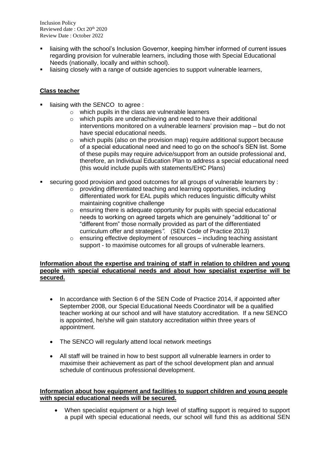- liaising with the school's Inclusion Governor, keeping him/her informed of current issues regarding provision for vulnerable learners, including those with Special Educational Needs (nationally, locally and within school).
- **EXEDENT** liaising closely with a range of outside agencies to support vulnerable learners,

# **Class teacher**

- liaising with the SENCO to agree :
	- o which pupils in the class are vulnerable learners
	- o which pupils are underachieving and need to have their additional interventions monitored on a vulnerable learners' provision map – but do not have special educational needs.
	- $\circ$  which pupils (also on the provision map) require additional support because of a special educational need and need to go on the school's SEN list. Some of these pupils may require advice/support from an outside professional and, therefore, an Individual Education Plan to address a special educational need (this would include pupils with statements/EHC Plans)
- securing good provision and good outcomes for all groups of vulnerable learners by :
	- o providing differentiated teaching and learning opportunities, including differentiated work for EAL pupils which reduces linguistic difficulty whilst maintaining cognitive challenge
	- $\circ$  ensuring there is adequate opportunity for pupils with special educational needs to working on agreed targets which are genuinely "additional to" or "different from" those normally provided as part of the differentiated curriculum offer and strategies*".* (SEN Code of Practice 2013)
	- $\circ$  ensuring effective deployment of resources including teaching assistant support - to maximise outcomes for all groups of vulnerable learners.

#### **Information about the expertise and training of staff in relation to children and young people with special educational needs and about how specialist expertise will be secured.**

- In accordance with Section 6 of the SEN Code of Practice 2014, if appointed after September 2008, our Special Educational Needs Coordinator will be a qualified teacher working at our school and will have statutory accreditation. If a new SENCO is appointed, he/she will gain statutory accreditation within three years of appointment.
- The SENCO will regularly attend local network meetings
- All staff will be trained in how to best support all vulnerable learners in order to maximise their achievement as part of the school development plan and annual schedule of continuous professional development.

# **Information about how equipment and facilities to support children and young people with special educational needs will be secured.**

 When specialist equipment or a high level of staffing support is required to support a pupil with special educational needs, our school will fund this as additional SEN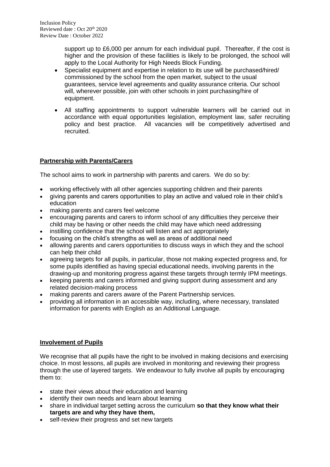support up to £6,000 per annum for each individual pupil. Thereafter, if the cost is higher and the provision of these facilities is likely to be prolonged, the school will apply to the Local Authority for High Needs Block Funding.

- Specialist equipment and expertise in relation to its use will be purchased/hired/ commissioned by the school from the open market, subject to the usual guarantees, service level agreements and quality assurance criteria. Our school will, wherever possible, join with other schools in joint purchasing/hire of equipment.
- All staffing appointments to support vulnerable learners will be carried out in accordance with equal opportunities legislation, employment law, safer recruiting policy and best practice. All vacancies will be competitively advertised and recruited.

# **Partnership with Parents/Carers**

The school aims to work in partnership with parents and carers. We do so by:

- working effectively with all other agencies supporting children and their parents
- giving parents and carers opportunities to play an active and valued role in their child's education
- making parents and carers feel welcome
- encouraging parents and carers to inform school of any difficulties they perceive their child may be having or other needs the child may have which need addressing
- instilling confidence that the school will listen and act appropriately
- focusing on the child's strengths as well as areas of additional need
- allowing parents and carers opportunities to discuss ways in which they and the school can help their child
- agreeing targets for all pupils, in particular, those not making expected progress and, for some pupils identified as having special educational needs, involving parents in the drawing-up and monitoring progress against these targets through termly IPM meetings.
- keeping parents and carers informed and giving support during assessment and any related decision-making process
- making parents and carers aware of the Parent Partnership services.
- providing all information in an accessible way, including, where necessary, translated information for parents with English as an Additional Language.

# **Involvement of Pupils**

We recognise that all pupils have the right to be involved in making decisions and exercising choice. In most lessons, all pupils are involved in monitoring and reviewing their progress through the use of layered targets. We endeavour to fully involve all pupils by encouraging them to:

- state their views about their education and learning
- identify their own needs and learn about learning
- share in individual target setting across the curriculum **so that they know what their targets are and why they have them,**
- self-review their progress and set new targets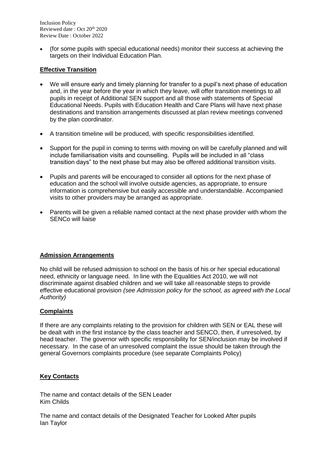Inclusion Policy Reviewed date: Oct 20<sup>th</sup> 2020 Review Date : October 2022

 (for some pupils with special educational needs) monitor their success at achieving the targets on their Individual Education Plan.

# **Effective Transition**

- We will ensure early and timely planning for transfer to a pupil's next phase of education and, in the year before the year in which they leave, will offer transition meetings to all pupils in receipt of Additional SEN support and all those with statements of Special Educational Needs. Pupils with Education Health and Care Plans will have next phase destinations and transition arrangements discussed at plan review meetings convened by the plan coordinator.
- A transition timeline will be produced, with specific responsibilities identified.
- Support for the pupil in coming to terms with moving on will be carefully planned and will include familiarisation visits and counselling. Pupils will be included in all "class transition days" to the next phase but may also be offered additional transition visits.
- Pupils and parents will be encouraged to consider all options for the next phase of education and the school will involve outside agencies, as appropriate, to ensure information is comprehensive but easily accessible and understandable. Accompanied visits to other providers may be arranged as appropriate.
- Parents will be given a reliable named contact at the next phase provider with whom the SENCo will liaise

# **Admission Arrangements**

No child will be refused admission to school on the basis of his or her special educational need, ethnicity or language need. In line with the Equalities Act 2010, we will not discriminate against disabled children and we will take all reasonable steps to provide effective educational provision *(see Admission policy for the school, as agreed with the Local Authority)*

#### **Complaints**

If there are any complaints relating to the provision for children with SEN or EAL these will be dealt with in the first instance by the class teacher and SENCO, then, if unresolved, by head teacher. The governor with specific responsibility for SEN/inclusion may be involved if necessary. In the case of an unresolved complaint the issue should be taken through the general Governors complaints procedure (see separate Complaints Policy)

# **Key Contacts**

The name and contact details of the SEN Leader Kim Childs

The name and contact details of the Designated Teacher for Looked After pupils Ian Taylor